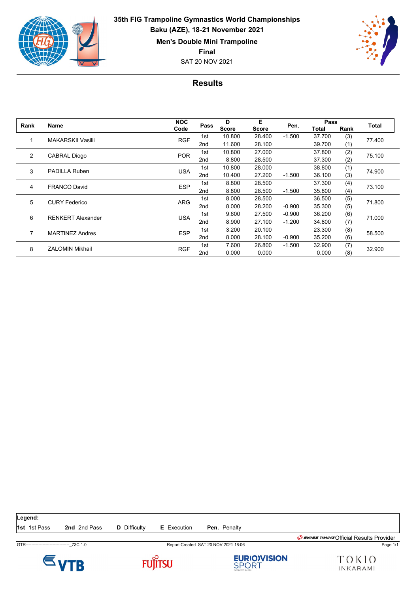

**35th FIG Trampoline Gymnastics World Championships Baku (AZE), 18-21 November 2021 Men's Double Mini Trampoline Final**

SAT 20 NOV 2021



## **Results**

| Rank | <b>Name</b>              | <b>NOC</b> | Pass            | D<br><b>Score</b> | Е<br><b>Score</b> | Pen.     | Pass   |      |        |
|------|--------------------------|------------|-----------------|-------------------|-------------------|----------|--------|------|--------|
|      |                          | Code       |                 |                   |                   |          | Total  | Rank | Total  |
|      | <b>MAKARSKII Vasilii</b> | <b>RGF</b> | 1st             | 10.800            | 28.400            | $-1.500$ | 37.700 | (3)  | 77.400 |
|      |                          |            | 2 <sub>nd</sub> | 11.600            | 28.100            |          | 39.700 | (1)  |        |
| 2    | CABRAL Diogo             | <b>POR</b> | 1st             | 10.800            | 27.000            |          | 37.800 | (2)  | 75.100 |
|      |                          |            | 2 <sub>nd</sub> | 8.800             | 28.500            |          | 37.300 | (2)  |        |
| 3    | <b>PADILLA Ruben</b>     | <b>USA</b> | 1st             | 10.800            | 28,000            |          | 38.800 | (1)  | 74.900 |
|      |                          |            | 2 <sub>nd</sub> | 10.400            | 27.200            | $-1.500$ | 36.100 | (3)  |        |
| 4    | <b>FRANCO David</b>      | <b>ESP</b> | 1st             | 8.800             | 28.500            |          | 37.300 | (4)  | 73.100 |
|      |                          |            | 2 <sub>nd</sub> | 8.800             | 28.500            | $-1.500$ | 35.800 | (4)  |        |
| 5    | <b>CURY Federico</b>     | <b>ARG</b> | 1st             | 8.000             | 28.500            |          | 36.500 | (5)  | 71.800 |
|      |                          |            | 2 <sub>nd</sub> | 8.000             | 28.200            | $-0.900$ | 35.300 | (5)  |        |
| 6    | <b>RENKERT Alexander</b> | <b>USA</b> | 1st             | 9.600             | 27.500            | $-0.900$ | 36.200 | (6)  | 71.000 |
|      |                          |            | 2 <sub>nd</sub> | 8.900             | 27.100            | $-1.200$ | 34.800 | (7)  |        |
| 7    | <b>MARTINEZ Andres</b>   | <b>ESP</b> | 1st             | 3.200             | 20.100            |          | 23.300 | (8)  | 58.500 |
|      |                          |            | 2 <sub>nd</sub> | 8.000             | 28.100            | $-0.900$ | 35.200 | (6)  |        |
| 8    | <b>ZALOMIN Mikhail</b>   | <b>RGF</b> | 1st             | 7.600             | 26.800            | $-1.500$ | 32.900 | (7)  | 32.900 |
|      |                          |            | 2 <sub>nd</sub> | 0.000             | 0.000             |          | 0.000  | (8)  |        |